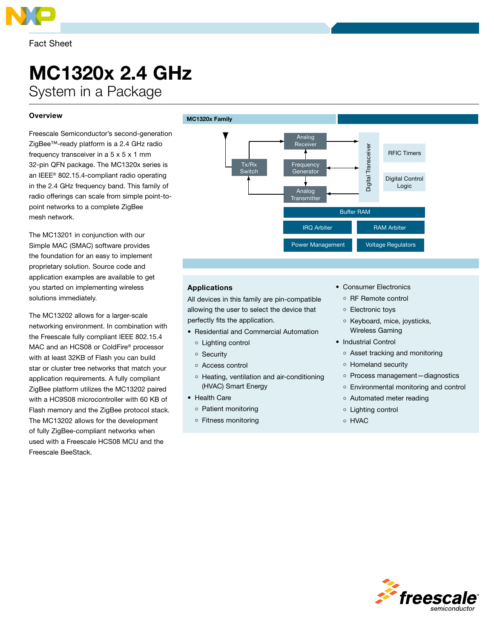

# MC1320x 2.4 GHz System in a Package

## **Overview**

Freescale Semiconductor's second-generation ZigBee™-ready platform is a 2.4 GHz radio frequency transceiver in a 5 x 5 x 1 mm 32-pin QFN package. The MC1320x series is an IEEE® 802.15.4-compliant radio operating in the 2.4 GHz frequency band. This family of radio offerings can scale from simple point-topoint networks to a complete ZigBee mesh network.

The MC13201 in conjunction with our Simple MAC (SMAC) software provides the foundation for an easy to implement proprietary solution. Source code and application examples are available to get you started on implementing wireless solutions immediately.

The MC13202 allows for a larger-scale networking environment. In combination with the Freescale fully compliant IEEE 802.15.4 MAC and an HCS08 or ColdFire® processor with at least 32KB of Flash you can build star or cluster tree networks that match your application requirements. A fully compliant ZigBee platform utilizes the MC13202 paired with a HC9S08 microcontroller with 60 KB of Flash memory and the ZigBee protocol stack. The MC13202 allows for the development of fully ZigBee-compliant networks when used with a Freescale HCS08 MCU and the Freescale BeeStack.



### Applications

All devices in this family are pin-compatible allowing the user to select the device that perfectly fits the application.

- • Residential and Commercial Automation
	- Lighting control
- o Security
- Access control
- Heating, ventilation and air-conditioning (HVAC) Smart Energy
- • Health Care
	- o Patient monitoring
	- Fitness monitoring
- Consumer Electronics
	- o RF Remote control
	- Electronic toys
	- Keyboard, mice, joysticks, Wireless Gaming
- Industrial Control
	- Asset tracking and monitoring
	- Homeland security
	- Process management-diagnostics
	- Environmental monitoring and control
	- Automated meter reading
	- Lighting control
- HVAC